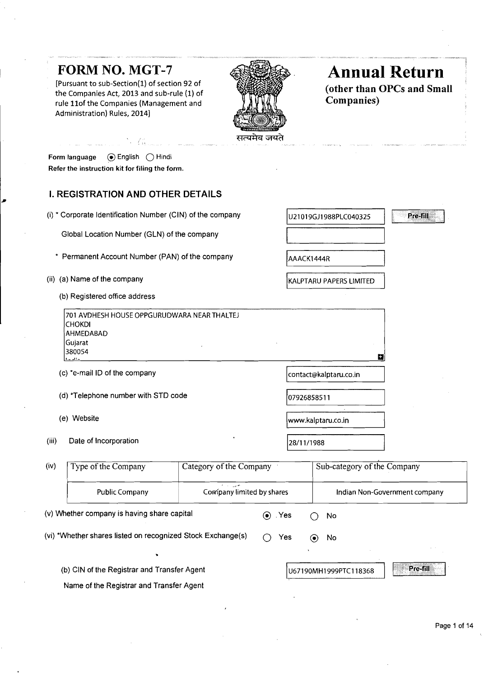# FORM NO. **MGT-7**

[Pursuant to sub-Section(1) of section 92 of the Companies Act, 2013 and sub-rule (1) of **(other than OPC)** (OTHER THAN OPC) (OTHER THAN OPC) and SMALL **COMPANIES** rule 11of the Companies (Management and Administration) Rules, 20141



# **Annual Return**<br>(other than OPCs and Small)

Pre-fill

**P** 

| Form language                                  | $\odot$ English $\bigcap$ Hindi |  |
|------------------------------------------------|---------------------------------|--|
| Refer the instruction kit for filing the form. |                                 |  |

# **I. REGISTRATION AND OTHER DETAILS**

-64

- (i) \* Corporate Identification Number (CIN) of the company
	- Global Location Number (GLN) of the company
	- \* Permanent Account Number (PAN) of the company
- (ii) (a) Name of the company
	- (b) Registered office address

| 1701 AVDHESH HOUSE OPPGURUDWARA NEAR THALTEJ |  |  |  |  |
|----------------------------------------------|--|--|--|--|
| <b>ICHOKDI</b>                               |  |  |  |  |
| <b>AHMEDABAD</b>                             |  |  |  |  |
| Gujarat                                      |  |  |  |  |
| 380054                                       |  |  |  |  |
|                                              |  |  |  |  |

- (c) \*e-mail ID of the company
- (d) \*Telephone number with STD code
- (e) Website
- (iii) Date of Incorporation

| ermanent Account Number (PAN) of the company                                                               | AAACK1444R              |  |  |
|------------------------------------------------------------------------------------------------------------|-------------------------|--|--|
| ) Name of the company                                                                                      | KALPTARU PAPERS LIMITED |  |  |
| Registered office address                                                                                  |                         |  |  |
| 701 AVDHESH HOUSE OPPGURUDWARA NEAR THALTEJ<br>CHOKDI<br>AHMEDABAD<br>Gujarat<br>380054<br>ک <u>تاب</u> سا | Ð                       |  |  |
| te-mail ID of the company                                                                                  | contact@kalptaru.co.in  |  |  |
| ) *Telephone number with STD code                                                                          | 07926858511             |  |  |
| ) Website                                                                                                  | www.kalptaru.co.in      |  |  |
|                                                                                                            |                         |  |  |

28/11/1988

U21019GJ1988PLC040325

| (iv) | Type of the Company                                         | Category of the Company                     | Sub-category of the Company       |                       |                               |  |
|------|-------------------------------------------------------------|---------------------------------------------|-----------------------------------|-----------------------|-------------------------------|--|
|      | <b>Public Company</b>                                       | for the search<br>Company limited by shares |                                   |                       | Indian Non-Government company |  |
|      | (v) Whether company is having share capital                 |                                             | Yes .<br>$\left( \bullet \right)$ | No                    |                               |  |
|      | (vi) *Whether shares listed on recognized Stock Exchange(s) |                                             | Yes                               | No<br>(●)             |                               |  |
|      |                                                             |                                             |                                   |                       |                               |  |
|      | (b) CIN of the Registrar and Transfer Agent                 |                                             |                                   | U67190MH1999PTC118368 | Pre-fill                      |  |
|      | Name of the Registrar and Transfer Agent                    |                                             |                                   |                       |                               |  |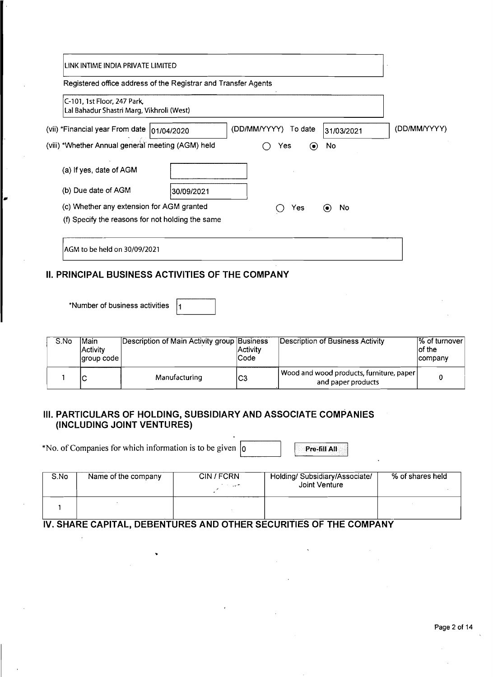| LINK INTIME INDIA PRIVATE LIMITED<br>Registered office address of the Registrar and Transfer Agents                                          |                        |
|----------------------------------------------------------------------------------------------------------------------------------------------|------------------------|
| C-101, 1st Floor, 247 Park.<br>Lal Bahadur Shastri Marg, Vikhroli (West)                                                                     |                        |
| (vii) *Financial year From date  01/04/2020<br>(DD/MM/YYYY)<br>To date<br>31/03/2021                                                         | (DD/MM/YYYY)           |
| (viii) *Whether Annual general meeting (AGM) held<br>No<br>$\odot$<br>Yes                                                                    |                        |
| (a) If yes, date of AGM                                                                                                                      |                        |
| (b) Due date of AGM<br>30/09/2021                                                                                                            |                        |
| (c) Whether any extension for AGM granted<br>No<br>Yes<br>$\odot$<br>(f) Specify the reasons for not holding the same                        |                        |
| AGM to be held on 30/09/2021                                                                                                                 |                        |
| II. PRINCIPAL BUSINESS ACTIVITIES OF THE COMPANY                                                                                             |                        |
| *Number of business activities<br>1                                                                                                          |                        |
| S.No<br><b>Main</b><br>Description of Main Activity group Business<br><b>Description of Business Activity</b><br>Activity<br><b>Activity</b> | % of turnove<br>of the |

| S.No | <b>Main</b><br><b>Activity</b><br>laroup code l | Description of Main Activity group Business | <b>Activity</b><br> Code | Description of Business Activity                                 | % of turnover<br>lof the<br>company |
|------|-------------------------------------------------|---------------------------------------------|--------------------------|------------------------------------------------------------------|-------------------------------------|
|      | N                                               | Manufacturing                               | lC3                      | Wood and wood products, furniture, paper  <br>and paper products |                                     |

# **Ill. PAR'TICULARS OF HOLDING, SUBSIDIARY AND ASSOCIATE COMPANIES (INCLLIDING JOINT VENTURES)**

\*No. of Companies for which information is to be given  $\boxed{0}$ 

Pre-fill All

| S.No | Name of the company | CIN / FCRN<br>of the support of | Holding/ Subsidiary/Associate/<br>Joint Venture | % of shares held |
|------|---------------------|---------------------------------|-------------------------------------------------|------------------|
|      |                     |                                 |                                                 |                  |

# <u>IV. SHARE CAPITAL, DEBENTURES AND OTHER SECURITIES OF THE COMPANY And the station of</u>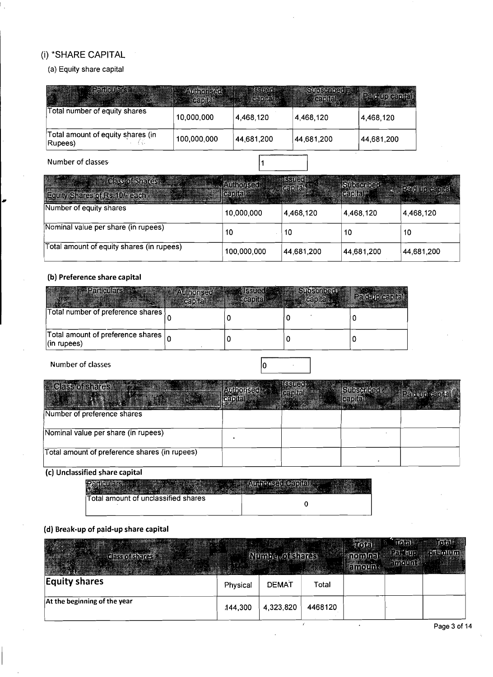# (i) \*SHARE CAPITAL

# (a) Equity share capital

| <b>Secretary Property Property</b>           | <b>PAUL TOTAL</b><br><b>Sal</b> capitaly | S3366166<br><b>William Capital Street</b> | <b>Sussenios</b> and<br><b>Acapitaly</b> | <b>Part of General</b> |
|----------------------------------------------|------------------------------------------|-------------------------------------------|------------------------------------------|------------------------|
| Total number of equity shares                | 10,000,000                               | 4,468,120                                 | 4,468,120                                | 4,468,120              |
| Total amount of equity shares (in<br>Rupees) | 100,000,000                              | 44,681,200                                | 44,681,200                               | 44,681,200             |
| Number of classes                            |                                          |                                           |                                          |                        |

| ्(हिन्दर वर्ड जिल्लाहरू :<br><b>Equity Shares of Rs. 10/ Bargh</b> | <b>Adionsen</b><br><b>Cantal</b> | <b>ISSUED</b> | Subscribed<br><b>GEDIGE</b> | <b>Pation of the Act of Act</b> |
|--------------------------------------------------------------------|----------------------------------|---------------|-----------------------------|---------------------------------|
| Number of equity shares                                            | 10.000.000                       | 4,468.120     | 4,468,120                   | 4,468,120                       |
| Nominal value per share (in rupees)                                | 10                               | 10            | 10                          | 10                              |
| Total amount of equity shares (in rupees)                          | 100,000,000                      | 44,681,200    | 44,681,200                  | 44,681,200                      |

# **(b) Preference share capital**

| <b>ANDER Particulars</b>                                              | <b>Allhorises</b><br>capital | <b>ICCI II CI I</b> | <b>Subscriptor</b><br>$= 100$ and $\sim$ | Paid-up capital |
|-----------------------------------------------------------------------|------------------------------|---------------------|------------------------------------------|-----------------|
| Total number of preference shares                                     |                              |                     |                                          |                 |
| Total amount of preference shares $\vert_{\Omega}$<br>$ $ (in rupees) |                              |                     |                                          |                 |

Number of classes

I

| <b>Class of shares</b>                        | ISS IC O<br>(#210116)) | Stinschlast<br><b>NGADITAL</b> |  |
|-----------------------------------------------|------------------------|--------------------------------|--|
| Number of preference shares                   |                        |                                |  |
| Nominal value per share (in rupees)           |                        |                                |  |
| Total amount of preference shares (in rupees) |                        |                                |  |

 $\sqrt{0}$ 

 $\bar{\beta}$ 

# **(c) Unclassified share capital**

| Total amount of unclassified shares |  |
|-------------------------------------|--|

# **(d) Break-up of paid-up share capital**

| <b>Telass of shares</b>      |          | <b>Municipalsheres</b> |         | ាតាតា<br>កសាកាក់។<br><b><i>amoun.</i></b> | ത്ത<br>Pat ago<br><b>Amount A</b> | ោសស<br>ះកោះកាលផង |
|------------------------------|----------|------------------------|---------|-------------------------------------------|-----------------------------------|------------------|
| <b>Equity shares</b>         | Physical | <b>DEMAT</b>           | Total   |                                           |                                   |                  |
| At the beginning of the year | 144,300  | 4,323,820              | 4468120 |                                           |                                   |                  |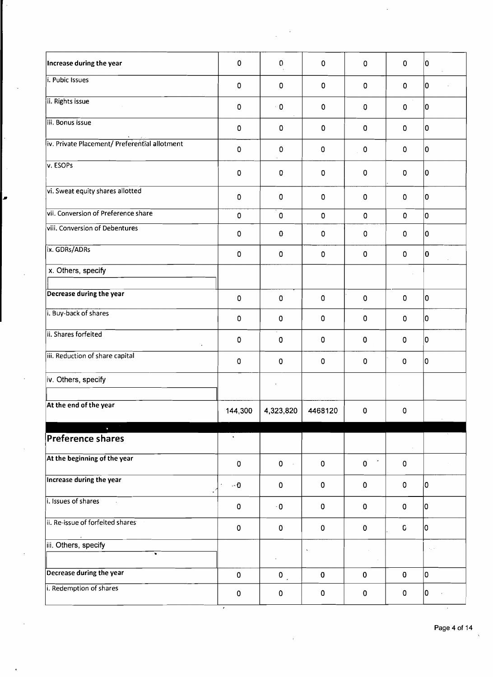| $\pmb{0}$   | $\mathbf{0}$         | $\pmb{0}$   | $\mathbf 0$ | 0           | 10                     |
|-------------|----------------------|-------------|-------------|-------------|------------------------|
| $\pmb{0}$   | 0                    | $\mathbf 0$ | $\mathbf 0$ | $\mathbf 0$ | I٥                     |
| $\pmb{0}$   | $\cdot$ 0            | $\pmb{0}$   | 0           | $\pmb{0}$   | 10                     |
| $\pmb{0}$   | 0                    | 0           | $\pmb{0}$   | $\mathbf 0$ | I٥                     |
| $\pmb{0}$   | 0                    | $\pmb{0}$   | $\pmb{0}$   | $\mathbf 0$ | 10                     |
| $\mathbf 0$ | 0                    | 0           | $\mathbf 0$ | $\mathbf 0$ | 10                     |
| $\pmb{0}$   | 0                    | $\pmb{0}$   | $\pmb{0}$   | $\pmb{0}$   | 10                     |
| $\pmb{0}$   | 0                    | $\pmb{0}$   | $\mathbf 0$ | $\mathbf 0$ | lo                     |
| $\pmb{0}$   | 0                    | $\pmb{0}$   | $\pmb{0}$   | $\mathbf 0$ | I٥                     |
| $\pmb{0}$   | 0                    | $\pmb{0}$   | $\pmb{0}$   | $\mathbf 0$ | O                      |
|             |                      |             |             | $\epsilon$  |                        |
| $\pmb{0}$   | 0                    | $\pmb{0}$   | $\mathbf 0$ | $\mathbf 0$ | 0                      |
| 0           | 0                    | $\pmb{0}$   | $\mathbf 0$ | 0           | 10                     |
| $\pmb{0}$   | $\mathbf 0$          | 0           | $\pmb{0}$   | $\mathbf 0$ | 10                     |
| $\pmb{0}$   | $\mathbf 0$          | $\pmb{0}$   | $\pmb{0}$   | $\pmb{0}$   | 0                      |
|             |                      |             |             | $\alpha$    |                        |
| 144,300     |                      | 4468120     | 0           | 0           |                        |
| $\bullet$   |                      |             |             |             |                        |
|             |                      |             |             |             |                        |
| 0           | $\mathbf 0$          | $\pmb{0}$   | $\pmb{0}$   | $\pmb{0}$   |                        |
| $\sim 0$    | $\mathbf 0$          | $\pmb{0}$   | 0           | $\pmb{0}$   | I٥                     |
| $\pmb{0}$   | $\cdot$ 0            | $\pmb{0}$   | 0           | $\mathbf 0$ | I٥                     |
| $\pmb{0}$   | $\mathbf 0$          | $\pmb{0}$   | $\pmb{0}$   | C.          | Iо                     |
|             |                      |             |             |             | $\epsilon_{\rm{in}}$ . |
|             |                      |             |             |             |                        |
| $\pmb{0}$   | $\mathbf{0}_{\perp}$ | $\pmb{0}$   | $\pmb{0}$   | $\mathbf 0$ | O                      |
|             |                      |             | 4,323,820   |             |                        |

 $\ddot{\phantom{0}}$ 

 $\frac{1}{2}$ 

ø

 $\cdot$ 

 $\hat{\boldsymbol{\beta}}$ 

 $\ddot{\phantom{0}}$ 

 $\ddot{\phantom{0}}$ 

 $\ddot{\phantom{a}}$ 

 $\cdot$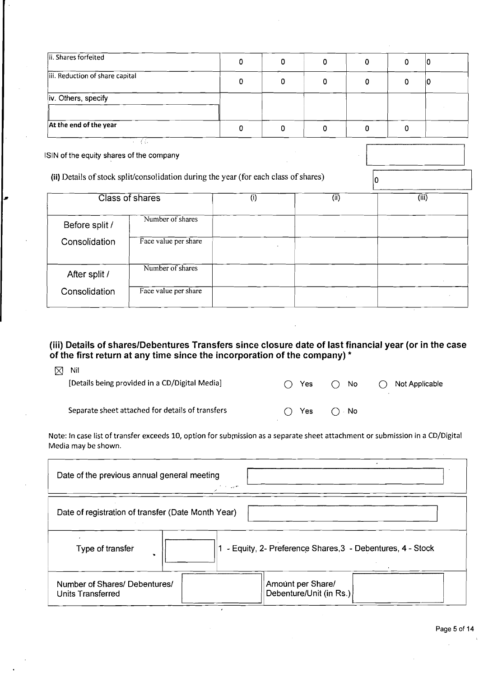| ii. Shares forfeited            | υ |  |  |
|---------------------------------|---|--|--|
| iii. Reduction of share capital |   |  |  |
| iv. Others, specify             |   |  |  |
| At the end of the year          |   |  |  |

lSlN of the equity shares of the company

*I* 

**(ii)** Details of stock split/consolidation during the year (for each class of shares)

|                | Class of shares      | (i) | (i) | (iii) |
|----------------|----------------------|-----|-----|-------|
| Before split / | Number of shares     |     |     |       |
| Consolidation  | Face value per share |     |     |       |
| After split /  | Number of shares     |     |     |       |
| Consolidation  | Face value per share |     |     |       |

 $|0\rangle$ 

# **(iii) Details of shareslDebentures Transfers since closure date of last financial year (or in the case of the first return at any time since the incorporation of the company)** \*

| .<br>[Details being provided in a CD/Digital Media] | ◯ Yes         | $\bigcap$ No                  | $\bigcirc$ Not Applicable |
|-----------------------------------------------------|---------------|-------------------------------|---------------------------|
| Separate sheet attached for details of transfers    | $\bigcap$ Yes | $\bigcap$ $\bigcap$ $\bigcap$ |                           |

| (iii) Details of shares/Debentures Transfers since closure date of last financial year (or in the case |                                              |      |                                                             |
|--------------------------------------------------------------------------------------------------------|----------------------------------------------|------|-------------------------------------------------------------|
| of the first return at any time since the incorporation of the company) *                              |                                              |      |                                                             |
| Nil<br>⊠                                                                                               |                                              |      |                                                             |
| [Details being provided in a CD/Digital Media]                                                         | Yes                                          | No   | Not Applicable                                              |
| Separate sheet attached for details of transfers                                                       | Yes                                          | ∞ No |                                                             |
| Media may be shown.<br>Date of the previous annual general meeting                                     |                                              |      |                                                             |
| Date of registration of transfer (Date Month Year)                                                     |                                              |      |                                                             |
| Type of transfer                                                                                       |                                              |      | 1 - Equity, 2- Preference Shares, 3 - Debentures, 4 - Stock |
| Number of Shares/ Debentures/<br>Units Transferred                                                     | Amount per Share/<br>Debenture/Unit (in Rs.) |      |                                                             |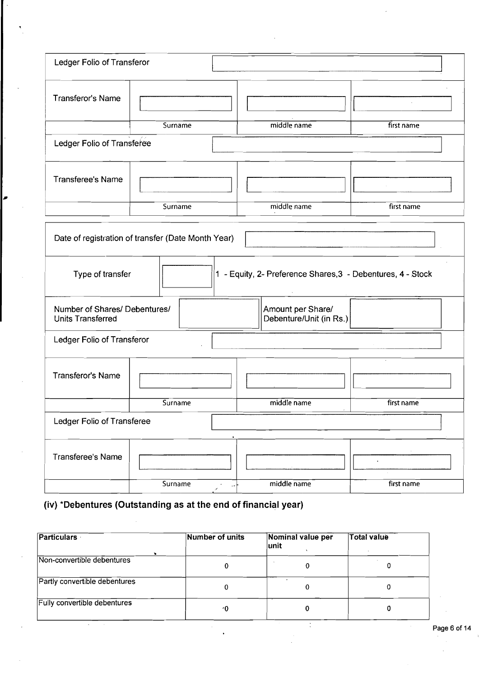| Ledger Folio of Transferor                         |                                                    |                                                             |               |
|----------------------------------------------------|----------------------------------------------------|-------------------------------------------------------------|---------------|
| Transferor's Name                                  |                                                    |                                                             | $\mathcal{L}$ |
| Ledger Folio of Transferee                         | Surname                                            | middle name                                                 | first name    |
| Transferee's Name                                  |                                                    |                                                             |               |
|                                                    | Surname                                            | middle name                                                 | first name    |
|                                                    | Date of registration of transfer (Date Month Year) |                                                             |               |
| Type of transfer                                   |                                                    | 1 - Equity, 2- Preference Shares, 3 - Debentures, 4 - Stock |               |
| Number of Shares/ Debentures/<br>Units Transferred |                                                    | Amount per Share/<br>Debenture/Unit (in Rs.)                |               |
| Ledger Folio of Transferor                         |                                                    |                                                             |               |
| <b>Transferor's Name</b>                           |                                                    |                                                             |               |
|                                                    | Surname                                            | middle name                                                 | first name    |
| Ledger Folio of Transferee                         |                                                    |                                                             |               |
| <b>Transferee's Name</b>                           |                                                    |                                                             |               |
|                                                    | Surname<br>$\sigma$                                | middle name<br>$\omega_{\rm f}$                             | first name    |

# **(iv) \*Debentures (Outstanding as at the end of financial year)**

| <b>Particulars</b>            | Number of units | Nominal value per<br>lunit | <b>Total value</b> |
|-------------------------------|-----------------|----------------------------|--------------------|
| Non-convertible debentures    |                 |                            |                    |
| Partly convertible debentures | 0               |                            |                    |
| Fully convertible debentures  | -0              |                            |                    |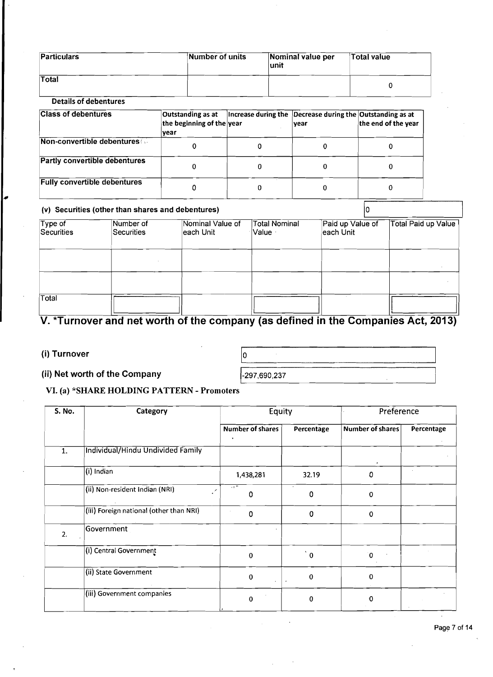| <b>Particulars</b> | Number of units | Nominal value per<br>∣unit | <sup>∖</sup> Total value |
|--------------------|-----------------|----------------------------|--------------------------|
| Total              |                 |                            |                          |

# **Details of debentures**

| <b>Class of debentures</b>          | Outstanding as at<br>the beginning of the year<br> vear | Increase during the Decrease during the Outstanding as at<br> vear | the end of the year |
|-------------------------------------|---------------------------------------------------------|--------------------------------------------------------------------|---------------------|
| Non-convertible debentures          |                                                         |                                                                    |                     |
| Partly convertible debentures       |                                                         |                                                                    |                     |
| <b>Fully convertible debentures</b> |                                                         |                                                                    |                     |

# **(v) Securities (other than shares and debentures)**

| <b>Fully convertible debentures</b> |                                                                                   | 0                               | $\mathbf 0$            | 0         |                  | $\bf{0}$ |                     |
|-------------------------------------|-----------------------------------------------------------------------------------|---------------------------------|------------------------|-----------|------------------|----------|---------------------|
|                                     | (v) Securities (other than shares and debentures)                                 |                                 |                        |           |                  |          |                     |
| Type of<br><b>Securities</b>        | Number of<br><b>Securities</b>                                                    | Nominal Value of<br>∣each Unit∶ | Total Nominal<br>Value | each Unit | Paid up Value of |          | Total Paid up Value |
|                                     |                                                                                   |                                 |                        |           |                  |          |                     |
|                                     |                                                                                   |                                 |                        |           |                  |          |                     |
| Total                               |                                                                                   |                                 |                        |           |                  |          |                     |
|                                     | V. *Turnover and net worth of the company (as defined in the Companies Act, 2013) |                                 |                        |           |                  |          |                     |
| (i) Turnover                        |                                                                                   |                                 | In.                    |           |                  |          |                     |

# **V. \*Turnover and net worth of the company (as defined in the Companies Act, 2013)**

# (i) Turnover

I

#### **(ii)** Net worth of the Company

-297,690,237

# **VI. (a) \*SHARE HOLDING PATTERN** - **Promoters**

| <b>S. No.</b> | Category                                | Equity           |             | Preference       |            |  |
|---------------|-----------------------------------------|------------------|-------------|------------------|------------|--|
|               |                                         | Number of shares | Percentage  | Number of shares | Percentage |  |
| 1.            | Individual/Hindu Undivided Family       |                  |             |                  |            |  |
|               | (i) Indian                              | 1,438,281        | 32.19       | ٥                |            |  |
|               | (ii) Non-resident Indian (NRI)<br>∕     | -11<br>0         | $\sim$<br>0 | 0                |            |  |
|               | (iii) Foreign national (other than NRI) | $\Omega$         | 0           | 0                |            |  |
| 2.            | Government                              |                  |             |                  |            |  |
|               | (i) Central Government                  | $\mathbf 0$      | $^{+}$ 0    | 0                |            |  |
|               | (ii) State Government                   | 0                | $\mathbf 0$ | 0                |            |  |
|               | (iii) Government companies              | $\Omega$         | $\pmb{0}$   | O                |            |  |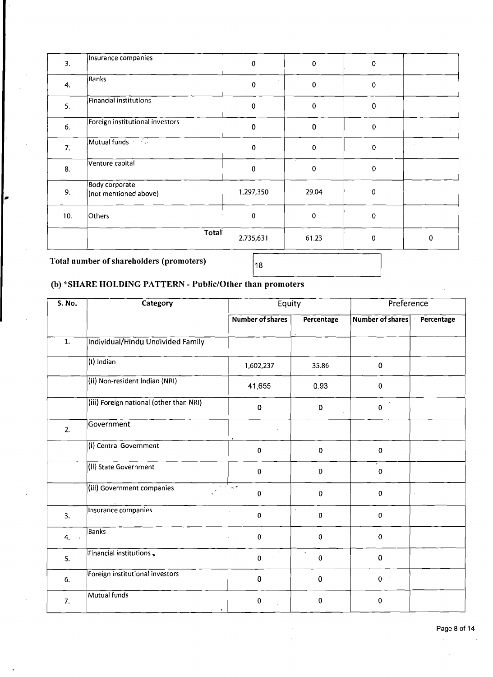| 3.  | Insurance companies                     | $\pmb{0}$   | $\pmb{0}$ | $\mathbf 0$  |           |
|-----|-----------------------------------------|-------------|-----------|--------------|-----------|
| 4.  | <b>Banks</b>                            | $\mathbf 0$ | $\pmb{0}$ | $\pmb{0}$    |           |
| 5.  | Financial institutions                  | $\mathbf 0$ | ${\bf 0}$ | 0            |           |
| 6.  | Foreign institutional investors         | 0           | 0         | $\mathbf 0$  |           |
| 7.  | Mutual funds (CO)                       | $\mathbf 0$ | 0         | $\mathbf{0}$ |           |
| 8.  | Venture capital                         | $\pmb{0}$   | 0         | $\mathbf 0$  |           |
| 9.  | Body corporate<br>(not mentioned above) | 1,297,350   | 29.04     | $\mathbf{0}$ |           |
| 10. | Others                                  | $\mathbf 0$ | $\pmb{0}$ | $\mathbf 0$  |           |
|     | Total                                   | 2,735,631   | 61.23     | $\mathbf 0$  | $\pmb{0}$ |

# **Total number of shareholders (promoters)**

**I** 

# (b) \*SHARE HOLDING PATTERN - Public/Other than promoters

| S. No.         | Category                                | Equity                    |                                     | Preference              |                             |
|----------------|-----------------------------------------|---------------------------|-------------------------------------|-------------------------|-----------------------------|
|                |                                         | <b>Number of shares</b>   | Percentage                          | <b>Number of shares</b> | Percentage                  |
| $\mathbf{1}$ . | Individual/Hindu Undivided Family       |                           |                                     |                         |                             |
|                | $(i)$ Indian                            | 1,602,237                 | 35.86                               | $\mathbf 0$             |                             |
|                | (ii) Non-resident Indian (NRI)          | 41,655                    | 0.93                                | $\mathbf 0$             |                             |
|                | (iii) Foreign national (other than NRI) | 0                         | $\mathbf 0$                         | $\pmb{0}$               |                             |
| 2.             | Government                              |                           |                                     |                         |                             |
|                | (i) Central Government                  | 0                         | $\mathbf 0$                         | $\pmb{0}$               |                             |
|                | (ii) State Government                   | 0                         | $\mathbf 0$                         | $\pmb{0}$               |                             |
|                | (iii) Government companies              | $\sim$<br>0               | $\pmb{0}$                           | 0                       |                             |
| 3.             | Insurance companies                     | 0                         | $\cdot$<br>$\bf{0}$                 | $\pmb{0}$               |                             |
| 4.             | <b>Banks</b>                            | 0                         | $\pmb{0}$                           | $\mathbf 0$             |                             |
| 5.             | Financial institutions                  | $\bar{a}$<br>0            | $\boldsymbol{\lambda}$<br>$\pmb{0}$ | $\pmb{0}$               | $\mathcal{L}_\mathbf{y}(t)$ |
| 6.             | Foreign institutional investors         | 0<br>$\ddot{\phantom{a}}$ | $\pmb{0}$                           | 0 <sup>1</sup>          |                             |
| 7.             | Mutual funds                            | 0                         | 0                                   | 0                       |                             |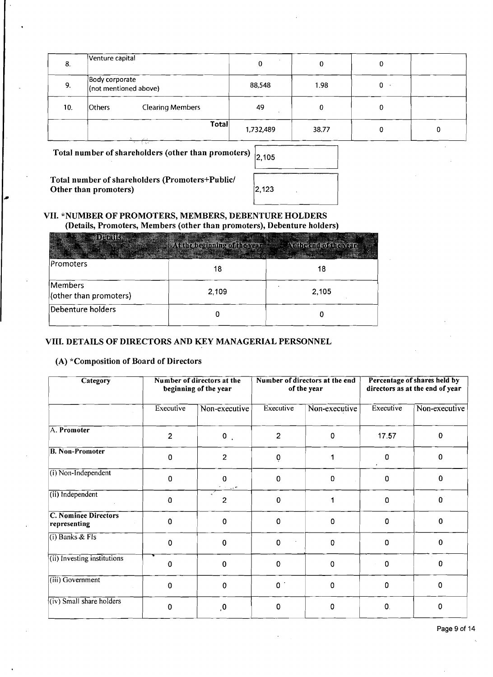| 8.  | Venture capital                         |                         |           |       | 0  |   |
|-----|-----------------------------------------|-------------------------|-----------|-------|----|---|
| 9.  | Body corporate<br>(not mentioned above) |                         | 88,548    | 1.98  | 0. |   |
| 10. | <b>Others</b>                           | <b>Clearing Members</b> | 49        |       | 0  |   |
|     |                                         | Total                   | 1,732,489 | 38.77 |    | 0 |

**Total number of shareholders (other than promoters)** 

2,105

 $2,123$ 

**Total number of shareholders (Promoters+Public/ Other than promoters)** 

# **VII. \*NUMBER OF PROMOTERS, MEMBERS, DEBENTURE HOLDERS (Details, Promoters, Members (other than promoters), Debenture holders)**

| <b>WEDEFINIS</b>                  | At the eighning of fits versions. At the city of the voir- | <u> Maria Maria Ma</u> |
|-----------------------------------|------------------------------------------------------------|------------------------|
| Promoters                         | 18                                                         | 18                     |
| Members<br>(other than promoters) | 2,109                                                      | 2,105                  |
| Debenture holders                 |                                                            |                        |

# **VIII. DETAILS OF DIRECTORS AND KEY MANAGERIAL PERSONNEL**

# **(A) \*Composition of Board of Directors**

| Category                                    | Number of directors at the<br>beginning of the year |                           | Number of directors at the end<br>of the year |               | Percentage of shares held by<br>directors as at the end of year |               |
|---------------------------------------------|-----------------------------------------------------|---------------------------|-----------------------------------------------|---------------|-----------------------------------------------------------------|---------------|
|                                             | Executive                                           | Non-executive             | Executive                                     | Non-executive | Executive                                                       | Non-executive |
| A. Promoter                                 | $\overline{2}$                                      | $0$ .                     | $\overline{2}$                                | 0             | 17.57                                                           | 0             |
| <b>B. Non-Promoter</b>                      | 0                                                   | $\overline{2}$            | $\pmb{0}$                                     | 1             | 0                                                               | $\Omega$      |
| $(i)$ Non-Independent                       | 0                                                   | 0                         | 0                                             | 0             | 0                                                               | $\Omega$      |
| (ii) Independent                            | 0                                                   | $\gamma=\omega_0$ on<br>2 | $\mathbf 0$                                   | 1             | 0                                                               | 0             |
| <b>C. Nominee Directors</b><br>representing | 0                                                   | 0                         | $\mathbf 0$                                   | 0             | 0                                                               | 0             |
| $(i)$ Banks & FIs                           | 0                                                   | 0                         | 0                                             | 0             | 0                                                               | 0             |
| (ii) Investing institutions                 | 0                                                   | 0                         | $\mathbf 0$                                   | 0             | $\mathbf 0$                                                     | $\Omega$      |
| (iii) Government                            | 0                                                   | $\mathbf 0$               | 0 <sup>1</sup>                                | 0             | 0                                                               | 0             |
| (iv) Small share holders                    | 0                                                   | 0,                        | $\mathbf 0$                                   | 0             | $\mathbf{0}$                                                    | 0             |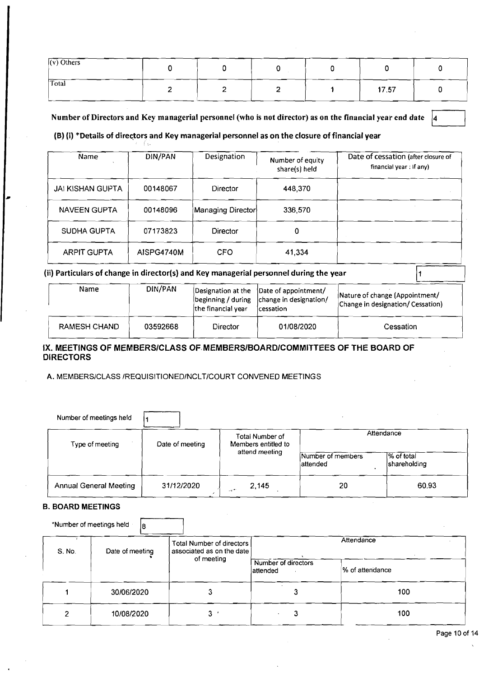| $\overline{(v)}$ Others   |  |  |       |  |
|---------------------------|--|--|-------|--|
| $\overline{\text{Total}}$ |  |  | 17.57 |  |

Number of Directors and Key managerial personnel (who is not director) as on the financial year end date |4

#### **{B)** {i) \*Details of directors and Key managerial personnel as on the closure of financial year

| Name                    | DIN/PAN    | Designation                                                    | Number of equity<br>share(s) held                                                     | Date of cessation (after closure of<br>financial year: If any)      |
|-------------------------|------------|----------------------------------------------------------------|---------------------------------------------------------------------------------------|---------------------------------------------------------------------|
| <b>JAI KISHAN GUPTA</b> | 00148067   | Director                                                       | 448,370                                                                               |                                                                     |
| <b>NAVEEN GUPTA</b>     | 00148096   | Managing Director                                              | 336,570                                                                               |                                                                     |
| SUDHA GUPTA             | 07173823   | <b>Director</b>                                                | 0                                                                                     |                                                                     |
| <b>ARPIT GUPTA</b>      | AISPG4740M | CFO                                                            | 41,334                                                                                |                                                                     |
|                         |            |                                                                | ii) Particulars of change in director(s) and Key managerial personnel during the year |                                                                     |
| Name                    | DIN/PAN    | Designation at the<br>beginning / during<br>the financial year | Date of appointment/<br>change in designation/<br> cessation                          | Nature of change (Appointment/<br>Change in designation/ Cessation) |

| <b>Name</b>  | DIN/PAN  | the financial year | Designation at the [Date of appointment/<br>beginning / during   change in designation/<br><b>cessation</b> | Nature of change (Appointment/<br>Change in designation/ Cessation) |
|--------------|----------|--------------------|-------------------------------------------------------------------------------------------------------------|---------------------------------------------------------------------|
| RAMESH CHAND | 03592668 | Director           | 01/08/2020                                                                                                  | Cessation                                                           |

#### IX. MEETINGS OF MEMBERSICLASS **0F.MEMBERSlBOARDlCOMMlTTEES** OF THE BOARD OF DIRECTORS

#### **A.** MEMBERSICLASS **IREQUISITIONEDINCLTICOURT** CONVENED MEETINGS

| RAMESH CHAND                                                                          | 03592668   | Director   | 01/08/2020     |                               | Cessation                  |
|---------------------------------------------------------------------------------------|------------|------------|----------------|-------------------------------|----------------------------|
| X. MEETINGS OF MEMBERS/CLASS OF MEMBERS/BOARD/COMMITTEES OF THE BOARD OF<br>DIRECTORS |            |            |                |                               |                            |
| A. MEMBERS/CLASS/REQUISITIONED/NCLT/COURT CONVENED MEETINGS                           |            |            |                |                               |                            |
|                                                                                       |            |            |                |                               |                            |
| Number of meetings held                                                               |            |            |                |                               |                            |
| Type of meeting                                                                       |            | Attendance |                |                               |                            |
|                                                                                       |            |            | attend meeting | Number of members<br>attended | % of total<br>shareholding |
| <b>Annual General Meeting</b>                                                         | 31/12/2020 | and T      | 2.145          | 20                            | 60.93                      |

#### **B. BOARD MEETINGS**

|                          | <b>Annual General Meeting</b>  | 31/12/2020                                             | 2,145<br>$-1$                    | 20              | 60.93 |
|--------------------------|--------------------------------|--------------------------------------------------------|----------------------------------|-----------------|-------|
| <b>B. BOARD MEETINGS</b> |                                |                                                        |                                  |                 |       |
|                          | *Number of meetings held<br>18 |                                                        |                                  |                 |       |
| S. No.                   | Date of meeting                | Total Number of directors<br>associated as on the date |                                  | Attendance      |       |
|                          |                                | of meeting                                             | Number of directors<br>lattended | % of attendance |       |
|                          | 30/06/2020                     |                                                        |                                  | 3               | 100   |
|                          | 10/08/2020                     | 3                                                      |                                  | 3               | 100   |
|                          |                                |                                                        |                                  |                 |       |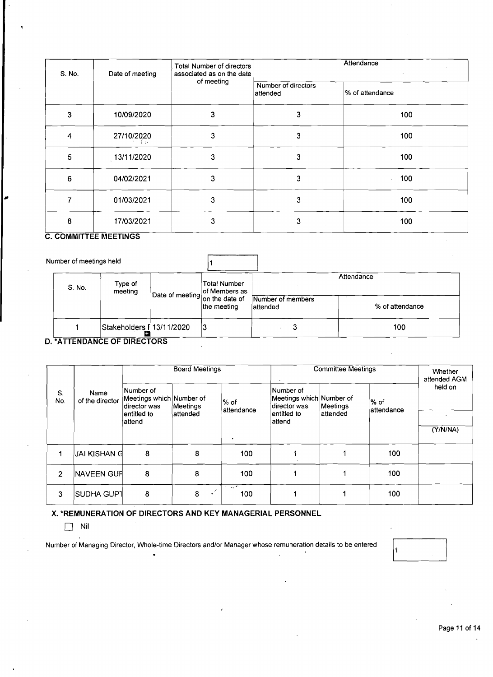| S. No.                  | Date of meeting              | Total Number of directors<br>associated as on the date |                                 | Attendance      |
|-------------------------|------------------------------|--------------------------------------------------------|---------------------------------|-----------------|
|                         |                              | of meeting                                             | Number of directors<br>attended | % of attendance |
| $\overline{\mathbf{3}}$ | 10/09/2020                   | 3                                                      | 3                               | 100             |
| 4                       | 27/10/2020                   | $\mathbf{3}$                                           | 3                               | 100             |
| 5                       | 13/11/2020                   | 3                                                      | 3                               | 100             |
| 6                       | 04/02/2021                   | 3                                                      | 3                               | 100             |
| $\overline{7}$          | 01/03/2021                   | 3                                                      | 3                               | 100             |
| 8                       | 17/03/2021                   | 3                                                      | 3                               | 100             |
|                         | <b>C. COMMITTEE MEETINGS</b> |                                                        |                                 |                 |
|                         | Number of meetings held      |                                                        |                                 |                 |
| S. No.                  | Type of<br>meeting           | Total Number<br>of Members as<br>Date of meeting       |                                 | Attendance      |
|                         |                              | on the date of<br>the meeting.                         | Number of members<br>attandad   | % of attendance |

| Total Number | Attendance                     |                                                 |  |
|--------------|--------------------------------|-------------------------------------------------|--|
| the meeting  | Number of members<br>lattended | % of attendance                                 |  |
| 13           |                                | 100                                             |  |
|              | Stakeholders F 13/11/2020      | Date of meeting of Members as<br>on the date of |  |

### **D. \*ATTENDANCE OF DIRECTORS**

|                | Name<br>of the director |                                                       | <b>Board Meetings</b> |                      | <b>Committee Meetings</b>                             |          |                    | Whether<br>attended AGM |  |
|----------------|-------------------------|-------------------------------------------------------|-----------------------|----------------------|-------------------------------------------------------|----------|--------------------|-------------------------|--|
| S.<br>No.      |                         | Number of<br>Meetings which Number of<br>director was | Meetings              | ∣% of<br>lattendance | Number of<br>Meetings which Number of<br>director was | Meetings | % of<br>attendance | held on                 |  |
|                |                         | entitled to<br>Íattend                                | lattended             |                      | entitled to<br>attend                                 | attended |                    |                         |  |
|                |                         |                                                       |                       | $\bullet$            |                                                       |          |                    | (Y/N/NA)                |  |
|                | JAI KISHAN G            | 8                                                     | 8                     | 100                  |                                                       |          | 100                |                         |  |
| $\overline{2}$ | <b>NAVEEN GUF</b>       | 8                                                     | 8                     | 100                  |                                                       |          | .100               |                         |  |
| 3              | SUDHA GUPT              | 8                                                     | 8                     | $\sim$ $\sim$<br>100 |                                                       |          | 100                |                         |  |

#### **X. \*REMUNERATION OF DIRECTORS AND KEY MANAGERIAL PERSONNEL**

[7 **Nil** 

Number of Managing Director, Whole-time Directors and/or Manager whose remuneration details to be entered ...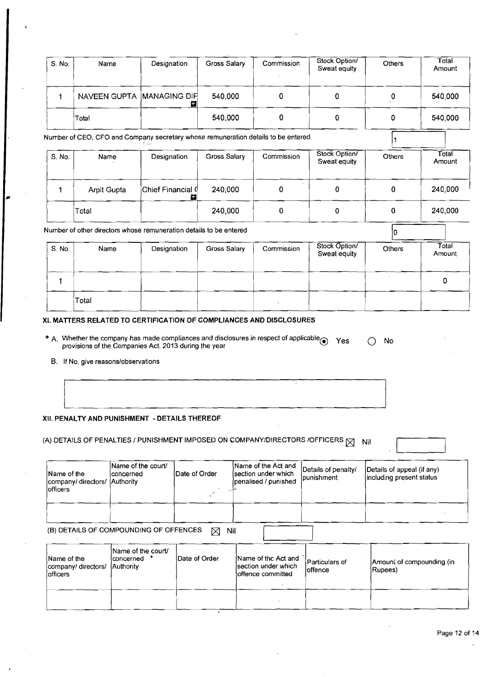|                         |                                     |                                                                                                                                              |               |                 | $\cdot$                                                            |                                                                                              |                                                        |                               |
|-------------------------|-------------------------------------|----------------------------------------------------------------------------------------------------------------------------------------------|---------------|-----------------|--------------------------------------------------------------------|----------------------------------------------------------------------------------------------|--------------------------------------------------------|-------------------------------|
| S. No.                  | Name                                | Designation                                                                                                                                  |               | Gross Salary    | Commission<br>$\sim$                                               | Stock Option/<br>Sweat equity                                                                | Others                                                 | Total<br>Amount               |
| $-1$                    |                                     | NAVEEN GUPTA MANAGING DIF                                                                                                                    | ø             | 540,000         | $\mathbf 0$                                                        | $\pmb{0}$                                                                                    | $\pmb{\mathsf{0}}$                                     | 540,000                       |
|                         | Total                               |                                                                                                                                              |               | 540,000         | 0                                                                  | $\pmb{0}$                                                                                    | 0                                                      | 540,000                       |
|                         |                                     | Number of CEO, CFO and Company secretary whose remuneration details to be entered<br>-634                                                    |               |                 |                                                                    |                                                                                              |                                                        |                               |
| S. No.                  | Name                                | Designation                                                                                                                                  |               | Gross Salary    | Commission                                                         | Stock Option/<br>Sweat equity                                                                | Others                                                 | Total<br>Amount               |
|                         | <b>Arpit Gupta</b>                  | Chief Financial (                                                                                                                            | Ы             | 240,000         | $\sim$<br>0                                                        | 0                                                                                            | $\mathbf 0$                                            | 240,000                       |
|                         | Total                               |                                                                                                                                              |               | 240,000         | 0                                                                  | 0                                                                                            | $\mathbf 0$                                            | 240,000                       |
|                         |                                     | Number of other directors whose remuneration details to be entered                                                                           |               |                 |                                                                    |                                                                                              | 10.                                                    |                               |
| S. No.                  | Name                                | Designation                                                                                                                                  |               | Gross Salary    | Commission                                                         | Stock Option/<br>Sweat equity                                                                | Others                                                 | $\overline{T}$ otal<br>Amount |
| $\mathbf{1}$            |                                     |                                                                                                                                              |               |                 |                                                                    |                                                                                              |                                                        | 0                             |
|                         | ¦Total                              |                                                                                                                                              |               |                 |                                                                    | $\sim$                                                                                       |                                                        |                               |
|                         |                                     | XI. MATTERS RELATED TO CERTIFICATION OF COMPLIANCES AND DISCLOSURES                                                                          |               |                 |                                                                    |                                                                                              |                                                        |                               |
|                         |                                     | * A. Whether the company has made compliances and disclosures in respect of applicable provisions of the Companies Act, 2013 during the year |               |                 |                                                                    | Yes                                                                                          | No<br>$\bigcirc$                                       |                               |
|                         | B. If No, give reasons/observations |                                                                                                                                              |               |                 |                                                                    |                                                                                              |                                                        |                               |
|                         |                                     |                                                                                                                                              |               |                 | $\cdot$                                                            |                                                                                              |                                                        |                               |
|                         |                                     | XII. PENALTY AND PUNISHMENT - DETAILS THEREOF                                                                                                |               |                 |                                                                    |                                                                                              |                                                        |                               |
|                         |                                     |                                                                                                                                              |               |                 |                                                                    | (A) DETAILS OF PENALTIES / PUNISHMENT IMPOSED ON COMPANY/DIRECTORS /OFFICERS $\boxtimes$ Nil |                                                        |                               |
| Name of the<br>officers | company/ directors/ Authority       | Name of the court/<br>concerned                                                                                                              | Date of Order |                 | Name of the Act and<br>section under which<br>penalised / punished | Details of penalty/<br>punishment                                                            | Details of appeal (if any)<br>including present status |                               |
|                         |                                     |                                                                                                                                              |               |                 |                                                                    |                                                                                              |                                                        |                               |
|                         |                                     | (B) DETAILS OF COMPOUNDING OF OFFENCES                                                                                                       |               | $\boxtimes$ Nil |                                                                    |                                                                                              |                                                        |                               |
| Name of the<br>officers | company/directors/                  | Name of the court/<br>concerned *<br>Authority                                                                                               | Date of Order |                 | Name of thc Act and<br>section under which<br>offence committed    | Particulars of<br>offence                                                                    | Amount of compounding (in<br>Rupees)                   |                               |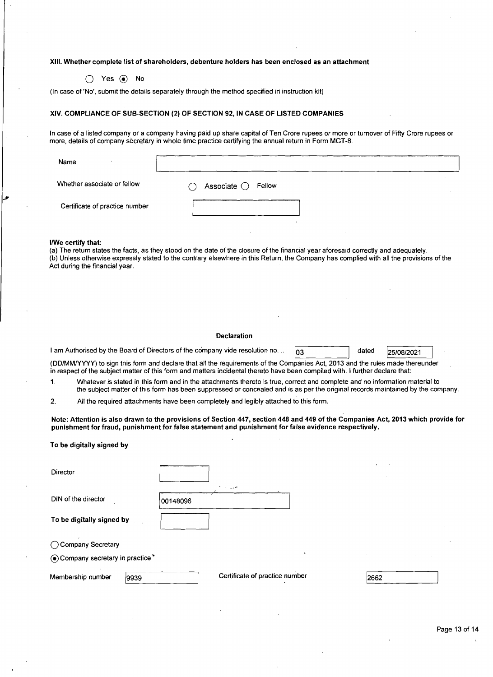#### XIII. Whether complete list of shareholders, debenture holders has been enclosed as an attachment

0 Yes @ No

(In case of 'No', submit the details separately through the method specified in instruction kit)

#### XIV. COMPLIANCE OF SUB-SECTION (2) OF SECTION **92,** IN CASE OF LISTED COMPANIES

In case of a listed company or a company having paid up share capital of Ten Crore rupees or more or turnover of Fifty Crore rupees or more, details of company secretary in whole time practice certifying the annual return in Form MGT-8.

| Name                           |                                    |  |
|--------------------------------|------------------------------------|--|
| Whether associate or fellow    | Associate $\bigcirc$ Fellow<br>7 I |  |
| Certificate of practice number |                                    |  |
|                                |                                    |  |

#### llWe certify that:

To be digitally signed by

(a) The return states the facts, as they stood on the date of the closure of the financial year aforesaid correctly and adequately. (b) Unless otherwise expressly stated to the contrary elsewhere in this Return, the Company has complied with all the provisions of the Act during the financial year.

#### Declaration

| I am Authorised by the Board of Directors of the company vide resolution no |  | dated | 25/08/2021 |  |
|-----------------------------------------------------------------------------|--|-------|------------|--|
|-----------------------------------------------------------------------------|--|-------|------------|--|

(DDIMMNYYY) to sign this form and declare that all the requirements of the Companies Act, 2013 and the rules made thereunder in respect of the subject matter of this form and matters incidental thereto have been compiled with. I further declare that:

1. Whatever is stated in this form and in the attachments thereto is true, correct and complete and no information material to the subject matter of this form has been suppressed or concealed and is as per the original records maintained by the company.

2. All the required attachments have been completely and legibly attached to this form.

Note: Attention is also drawn to the provisions of Section **447,** section **448** and **449** of the Companies Act, 2013 which provide for punishment for fraud, punishment for false statement and punishment for false evidence respectively.

| Director                         |                                |      |
|----------------------------------|--------------------------------|------|
|                                  | t in uy≉                       |      |
| DIN of the director              | 00148096                       |      |
| To be digitally signed by        |                                |      |
| ◯ Company Secretary              |                                |      |
| . Company secretary in practice* | $\mathbf{v}$                   |      |
| Membership number<br>9939        | Certificate of practice number | 2662 |
|                                  |                                |      |